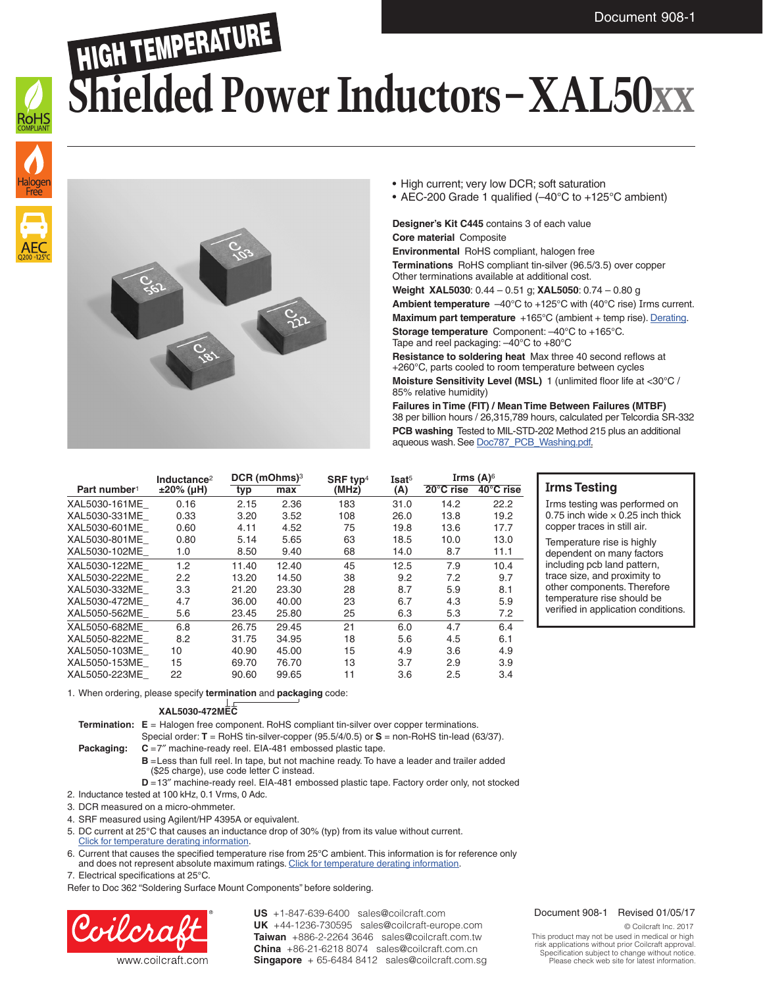### HIGH TEMPERATURE **Shielded Power Inductors – XAL50xx**





• High current; very low DCR; soft saturation

• AEC-200 Grade 1 qualified (–40°C to +125°C ambient)

#### **Designer's Kit C445** contains 3 of each value **Core material** Composite

**Environmental** RoHS compliant, halogen free **Terminations** RoHS compliant tin-silver (96.5/3.5) over copper Other terminations available at additional cost. **Weight XAL5030**: 0.44 – 0.51 g; **XAL5050**: 0.74 – 0.80 g

**Ambient temperature** –40°C to +125°C with (40°C rise) Irms current.

**Maximum part temperature** +165°C (ambient + temp rise). [Derating.](http://www.coilcraft.com/apps/compare/compare_power.cfm) **Storage temperature** Component: –40°C to +165°C. Tape and reel packaging: –40°C to +80°C

**Resistance to soldering heat** Max three 40 second reflows at +260°C, parts cooled to room temperature between cycles **Moisture Sensitivity Level (MSL)** 1 (unlimited floor life at <30°C / 85% relative humidity)

**Failures in Time (FIT) / Mean Time Between Failures (MTBF)** 38 per billion hours / 26,315,789 hours, calculated per Telcordia SR-332 **PCB washing** Tested to MIL-STD-202 Method 215 plus an additional aqueous wash. See [Doc787\\_PCB\\_Washing.pdf](http://www.coilcraft.com/pdfs/Doc787_PCB_Washing.pdf).

|                          | Inductance <sup>2</sup><br>$±20\%$ (µH) | $DCR$ (mOhms) $3$ |       | SRF typ <sup>4</sup> | Isat <sup>5</sup> | Irms $(A)^6$        |           |
|--------------------------|-----------------------------------------|-------------------|-------|----------------------|-------------------|---------------------|-----------|
| Part number <sup>1</sup> |                                         | typ               | max   | (MHz)                | (A)               | $20^{\circ}$ C rise | 40°C rise |
| XAL5030-161ME            | 0.16                                    | 2.15              | 2.36  | 183                  | 31.0              | 14.2                | 22.2      |
| XAL5030-331ME            | 0.33                                    | 3.20              | 3.52  | 108                  | 26.0              | 13.8                | 19.2      |
| XAL5030-601ME            | 0.60                                    | 4.11              | 4.52  | 75                   | 19.8              | 13.6                | 17.7      |
| XAL5030-801ME            | 0.80                                    | 5.14              | 5.65  | 63                   | 18.5              | 10.0                | 13.0      |
| XAL5030-102ME            | 1.0                                     | 8.50              | 9.40  | 68                   | 14.0              | 8.7                 | 11.1      |
| XAL5030-122ME            | 1.2                                     | 11.40             | 12.40 | 45                   | 12.5              | 7.9                 | 10.4      |
| XAL5030-222ME            | 2.2                                     | 13.20             | 14.50 | 38                   | 9.2               | 7.2                 | 9.7       |
| XAL5030-332ME            | 3.3                                     | 21.20             | 23.30 | 28                   | 8.7               | 5.9                 | 8.1       |
| XAL5030-472ME            | 4.7                                     | 36.00             | 40.00 | 23                   | 6.7               | 4.3                 | 5.9       |
| XAL5050-562ME            | 5.6                                     | 23.45             | 25.80 | 25                   | 6.3               | 5.3                 | 7.2       |
| XAL5050-682ME            | 6.8                                     | 26.75             | 29.45 | 21                   | 6.0               | 4.7                 | 6.4       |
| XAL5050-822ME            | 8.2                                     | 31.75             | 34.95 | 18                   | 5.6               | 4.5                 | 6.1       |
| XAL5050-103ME            | 10                                      | 40.90             | 45.00 | 15                   | 4.9               | 3.6                 | 4.9       |
| XAL5050-153ME            | 15                                      | 69.70             | 76.70 | 13                   | 3.7               | 2.9                 | 3.9       |
| XAL5050-223ME            | 22                                      | 90.60             | 99.65 | 11                   | 3.6               | 2.5                 | 3.4       |

#### **Irms Testing**

Irms testing was performed on 0.75 inch wide  $\times$  0.25 inch thick copper traces in still air.

Temperature rise is highly dependent on many factors including pcb land pattern, trace size, and proximity to other components. Therefore temperature rise should be verified in application conditions.

1. When ordering, please specify **termination** and **packaging** code:

#### **XAL5030-472MEC**

**Termination:**  $E =$  Halogen free component. RoHS compliant tin-silver over copper terminations.

- Special order: **T** = RoHS tin-silver-copper (95.5/4/0.5) or **S** = non-RoHS tin-lead (63/37). **Packaging:**  $C = 7$ " machine-ready reel. EIA-481 embossed plastic tape.
	- **B** = Less than full reel. In tape, but not machine ready. To have a leader and trailer added (\$25 charge), use code letter C instead.
- **D** =13" machine-ready reel. EIA-481 embossed plastic tape. Factory order only, not stocked 2. Inductance tested at 100 kHz, 0.1 Vrms, 0 Adc.

3. DCR measured on a micro-ohmmeter.

- 4. SRF measured using Agilent/HP 4395A or equivalent.
- 
- 5. DC current at 25°C that causes an inductance drop of 30% (typ) from its value without current. [Click for temperature derating information.](http://www.coilcraft.com/apps/compare/compare_power.cfm)
- 6. Current that causes the specified temperature rise from 25°C ambient. This information is for reference only and does not represent absolute maximum ratings. [Click for temperature derating information](http://www.coilcraft.com/apps/compare/compare_power.cfm).

7. Electrical specifications at 25°C.

Refer to Doc 362 "Soldering Surface Mount Components" before soldering.



**US** +1-847-639-6400 sales@coilcraft.com **UK** +44-1236-730595 sales@coilcraft-europe.com **Taiwan** +886-2-2264 3646 sales@coilcraft.com.tw **China** +86-21-6218 8074 sales@coilcraft.com.cn **Singapore** + 65-6484 8412 sales@coilcraft.com.sg

#### Document 908-1 Revised 01/05/17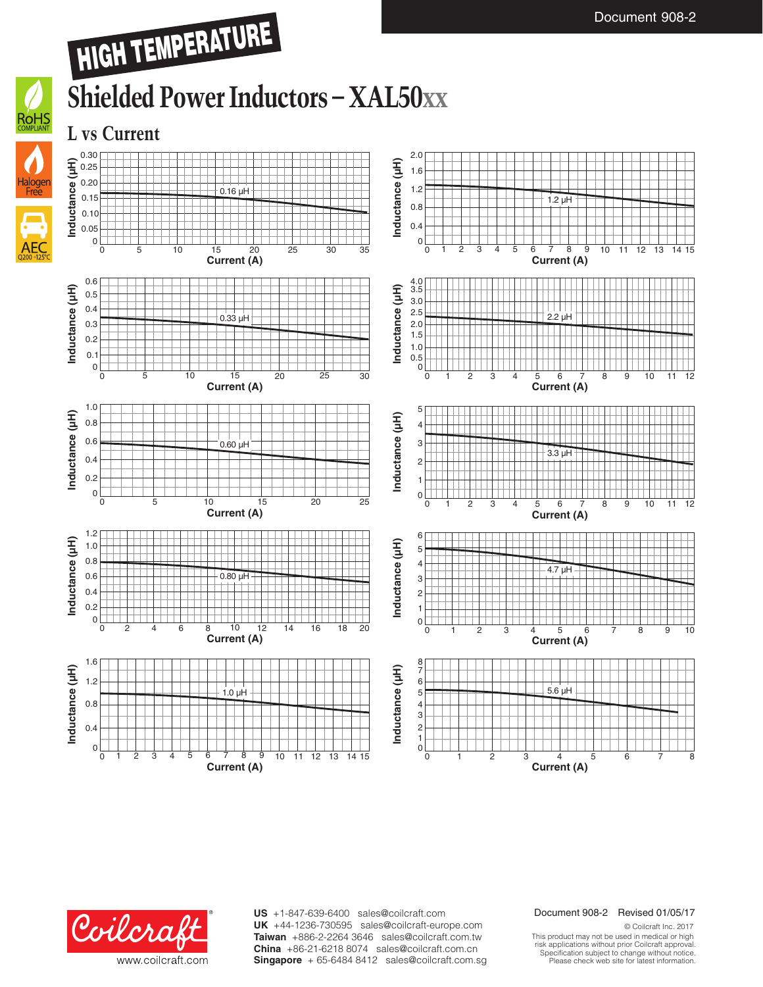## HIGH TEMPERATURE

### **Shielded Power Inductors – XAL50xx**

**L vs Current**



ROHS





**US** +1-847-639-6400 sales@coilcraft.com **UK** +44-1236-730595 sales@coilcraft-europe.com **Taiwan** +886-2-2264 3646 sales@coilcraft.com.tw **China** +86-21-6218 8074 sales@coilcraft.com.cn **Singapore** + 65-6484 8412 sales@coilcraft.com.sg

#### Document 908-2 Revised 01/05/17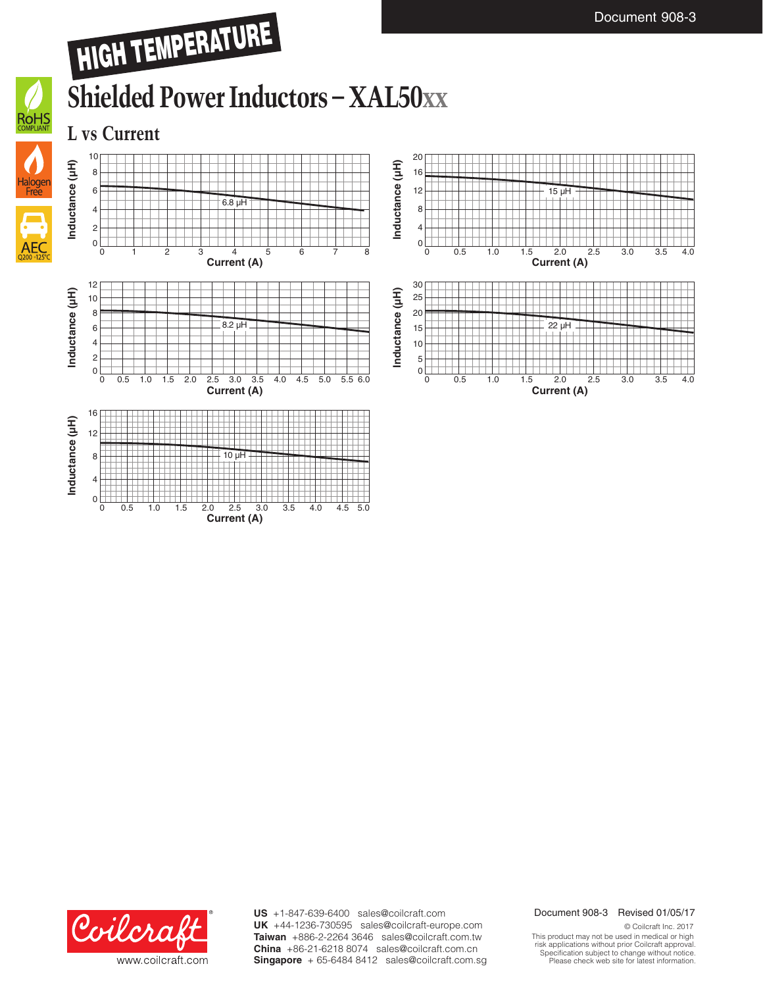**L vs Current**



**Inductance (µH)**









**US** +1-847-639-6400 sales@coilcraft.com **UK** +44-1236-730595 sales@coilcraft-europe.com **Taiwan** +886-2-2264 3646 sales@coilcraft.com.tw **China** +86-21-6218 8074 sales@coilcraft.com.cn **Singapore** + 65-6484 8412 sales@coilcraft.com.sg

#### Document 908-3 Revised 01/05/17